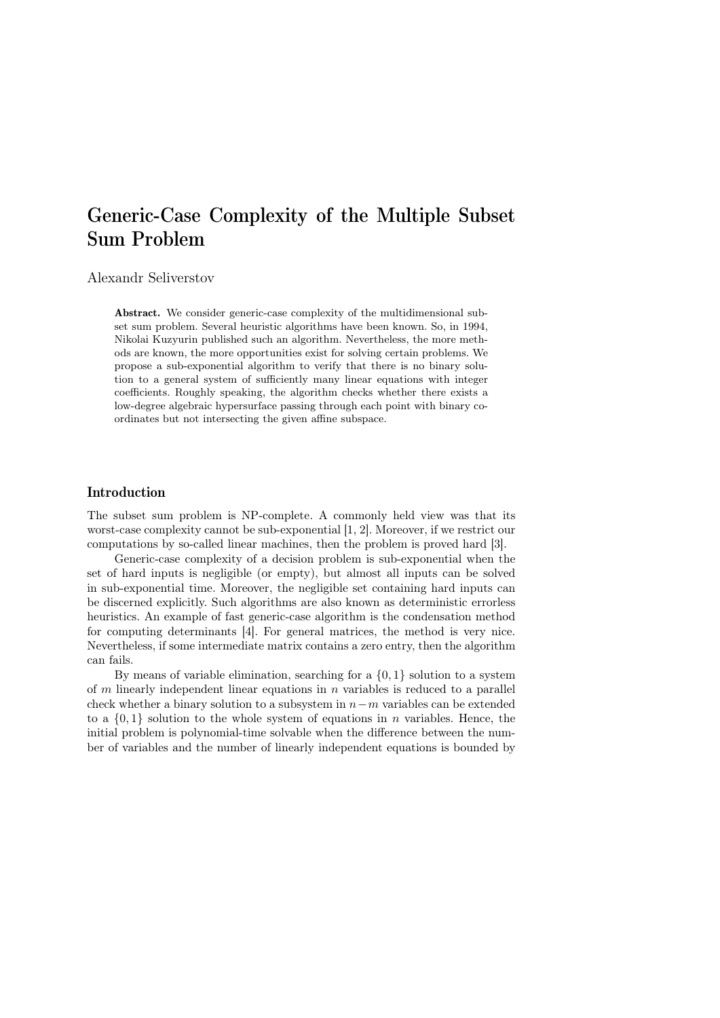# Generic-Case Complexity of the Multiple Subset Sum Problem

# Alexandr Seliverstov

Abstract. We consider generic-case complexity of the multidimensional subset sum problem. Several heuristic algorithms have been known. So, in 1994, Nikolai Kuzyurin published such an algorithm. Nevertheless, the more methods are known, the more opportunities exist for solving certain problems. We propose a sub-exponential algorithm to verify that there is no binary solution to a general system of sufficiently many linear equations with integer coefficients. Roughly speaking, the algorithm checks whether there exists a low-degree algebraic hypersurface passing through each point with binary coordinates but not intersecting the given affine subspace.

## Introduction

The subset sum problem is NP-complete. A commonly held view was that its worst-case complexity cannot be sub-exponential [1, 2]. Moreover, if we restrict our computations by so-called linear machines, then the problem is proved hard [3].

Generic-case complexity of a decision problem is sub-exponential when the set of hard inputs is negligible (or empty), but almost all inputs can be solved in sub-exponential time. Moreover, the negligible set containing hard inputs can be discerned explicitly. Such algorithms are also known as deterministic errorless heuristics. An example of fast generic-case algorithm is the condensation method for computing determinants [4]. For general matrices, the method is very nice. Nevertheless, if some intermediate matrix contains a zero entry, then the algorithm can fails.

By means of variable elimination, searching for a  $\{0, 1\}$  solution to a system of  $m$  linearly independent linear equations in  $n$  variables is reduced to a parallel check whether a binary solution to a subsystem in  $n-m$  variables can be extended to a  $\{0,1\}$  solution to the whole system of equations in n variables. Hence, the initial problem is polynomial-time solvable when the difference between the number of variables and the number of linearly independent equations is bounded by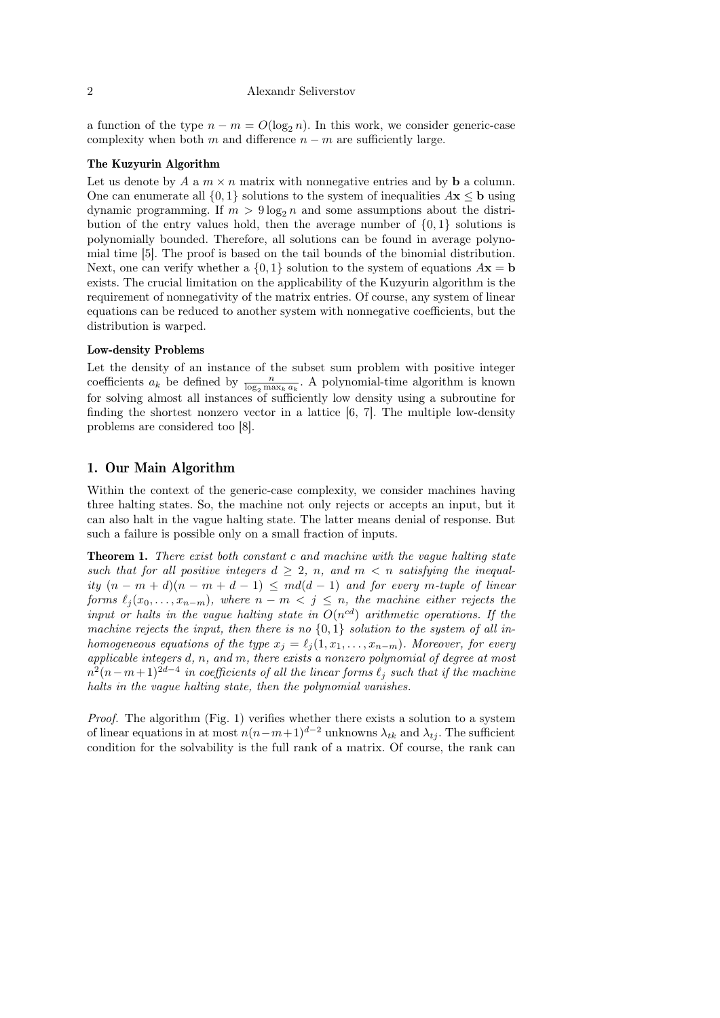#### 2 Alexandr Seliverstov

a function of the type  $n - m = O(\log_2 n)$ . In this work, we consider generic-case complexity when both  $m$  and difference  $n - m$  are sufficiently large.

#### The Kuzyurin Algorithm

Let us denote by A a  $m \times n$  matrix with nonnegative entries and by **b** a column. One can enumerate all  $\{0, 1\}$  solutions to the system of inequalities  $A\mathbf{x} \leq \mathbf{b}$  using dynamic programming. If  $m > 9 \log_2 n$  and some assumptions about the distribution of the entry values hold, then the average number of  $\{0, 1\}$  solutions is polynomially bounded. Therefore, all solutions can be found in average polynomial time [5]. The proof is based on the tail bounds of the binomial distribution. Next, one can verify whether a  $\{0, 1\}$  solution to the system of equations  $A\mathbf{x} = \mathbf{b}$ exists. The crucial limitation on the applicability of the Kuzyurin algorithm is the requirement of nonnegativity of the matrix entries. Of course, any system of linear equations can be reduced to another system with nonnegative coefficients, but the distribution is warped.

#### Low-density Problems

Let the density of an instance of the subset sum problem with positive integer coefficients  $a_k$  be defined by  $\frac{n}{\log_2 \max_k a_k}$ . A polynomial-time algorithm is known for solving almost all instances of sufficiently low density using a subroutine for finding the shortest nonzero vector in a lattice [6, 7]. The multiple low-density problems are considered too [8].

## 1. Our Main Algorithm

Within the context of the generic-case complexity, we consider machines having three halting states. So, the machine not only rejects or accepts an input, but it can also halt in the vague halting state. The latter means denial of response. But such a failure is possible only on a small fraction of inputs.

Theorem 1. There exist both constant c and machine with the vague halting state such that for all positive integers  $d \geq 2$ , n, and  $m < n$  satisfying the inequality  $(n - m + d)(n - m + d - 1) \leq m d(d - 1)$  and for every m-tuple of linear forms  $\ell_j (x_0, \ldots, x_{n-m})$ , where  $n - m < j \leq n$ , the machine either rejects the input or halts in the vague halting state in  $O(n^{cd})$  arithmetic operations. If the machine rejects the input, then there is no  $\{0,1\}$  solution to the system of all inhomogeneous equations of the type  $x_j = \ell_j (1, x_1, \ldots, x_{n-m})$ . Moreover, for every applicable integers d, n, and m, there exists a nonzero polynomial of degree at most  $n^2(n-m+1)^{2d-4}$  in coefficients of all the linear forms  $\ell_j$  such that if the machine halts in the vague halting state, then the polynomial vanishes.

*Proof.* The algorithm (Fig. 1) verifies whether there exists a solution to a system of linear equations in at most  $n(n-m+1)^{d-2}$  unknowns  $\lambda_{tk}$  and  $\lambda_{tj}$ . The sufficient condition for the solvability is the full rank of a matrix. Of course, the rank can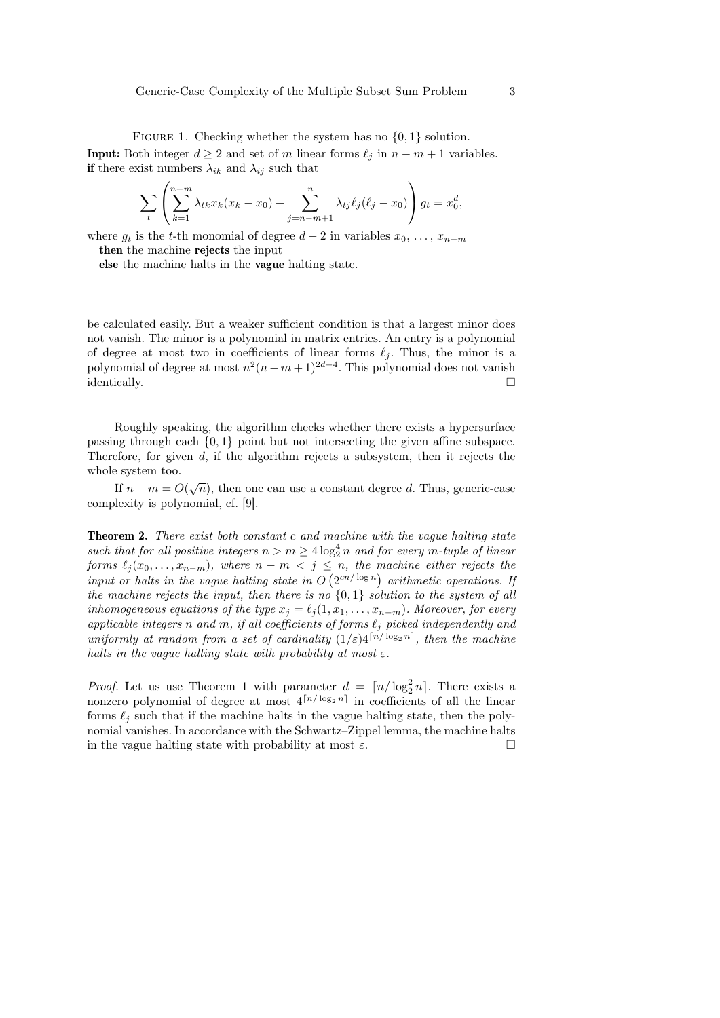FIGURE 1. Checking whether the system has no  $\{0, 1\}$  solution. **Input:** Both integer  $d \geq 2$  and set of m linear forms  $\ell_j$  in  $n - m + 1$  variables. if there exist numbers  $\lambda_{ik}$  and  $\lambda_{ij}$  such that

$$
\sum_{t} \left( \sum_{k=1}^{n-m} \lambda_{tk} x_k (x_k - x_0) + \sum_{j=n-m+1}^{n} \lambda_{tj} \ell_j (\ell_j - x_0) \right) g_t = x_0^d,
$$

where  $g_t$  is the t-th monomial of degree  $d-2$  in variables  $x_0, \ldots, x_{n-m}$ then the machine rejects the input

else the machine halts in the vague halting state.

be calculated easily. But a weaker sufficient condition is that a largest minor does not vanish. The minor is a polynomial in matrix entries. An entry is a polynomial of degree at most two in coefficients of linear forms  $\ell_j$ . Thus, the minor is a polynomial of degree at most  $n^2(n-m+1)^{2d-4}$ . This polynomial does not vanish  $\Box$ identically.

Roughly speaking, the algorithm checks whether there exists a hypersurface passing through each {0, 1} point but not intersecting the given affine subspace. Therefore, for given d, if the algorithm rejects a subsystem, then it rejects the whole system too.

If  $n - m = O(\sqrt{n})$ , then one can use a constant degree d. Thus, generic-case complexity is polynomial, cf. [9].

Theorem 2. There exist both constant c and machine with the vague halting state such that for all positive integers  $n > m \geq 4 \log_2^4 n$  and for every m-tuple of linear forms  $\ell_j (x_0, \ldots, x_{n-m})$ , where  $n - m < j \leq n$ , the machine either rejects the input or halts in the vague halting state in  $O(2^{cn/\log n})$  arithmetic operations. If the machine rejects the input, then there is no  $\{0,1\}$  solution to the system of all inhomogeneous equations of the type  $x_j = \ell_j (1, x_1, \ldots, x_{n-m})$ . Moreover, for every applicable integers n and m, if all coefficients of forms  $\ell_j$  picked independently and uniformly at random from a set of cardinality  $(1/\varepsilon)4^{\lceil n/\log_2 n \rceil}$ , then the machine halts in the vague halting state with probability at most  $\varepsilon$ .

*Proof.* Let us use Theorem 1 with parameter  $d = \lfloor n/\log_2^2 n \rfloor$ . There exists a nonzero polynomial of degree at most  $4^{n/\log_2 n}$  in coefficients of all the linear forms  $\ell_i$  such that if the machine halts in the vague halting state, then the polynomial vanishes. In accordance with the Schwartz–Zippel lemma, the machine halts in the vague halting state with probability at most  $\varepsilon$ .